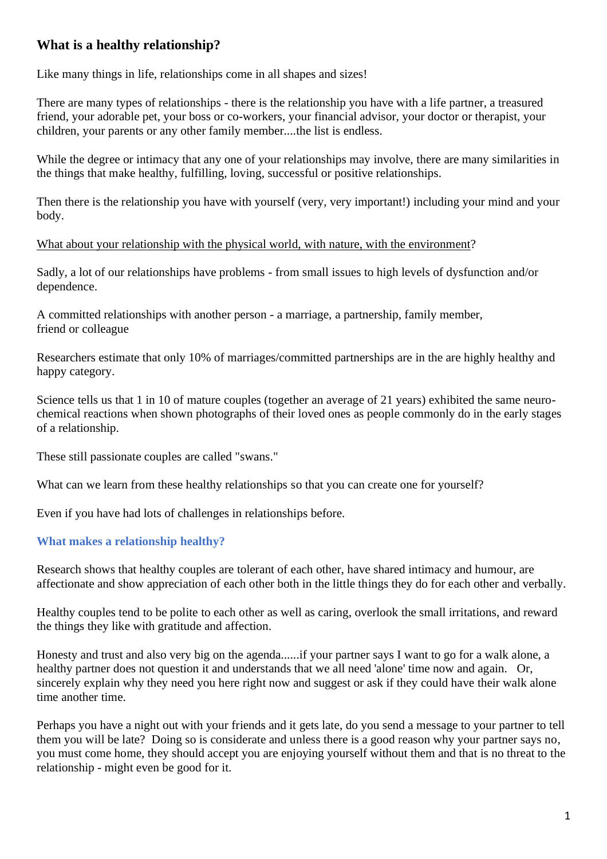# **What is a healthy relationship?**

Like many things in life, relationships come in all shapes and sizes!

There are many types of relationships - there is the relationship you have with a life partner, a treasured friend, your adorable pet, your boss or co-workers, your financial advisor, your doctor or therapist, your children, your parents or any other family member....the list is endless.

While the degree or intimacy that any one of your relationships may involve, there are many similarities in the things that make healthy, fulfilling, loving, successful or positive relationships.

Then there is the relationship you have with yourself (very, very important!) including your mind and your body.

What about your relationship with the physical world, with nature, with the environment?

Sadly, a lot of our relationships have problems - from small issues to high levels of dysfunction and/or dependence.

A committed relationships with another person - a marriage, a partnership, family member, friend or colleague

Researchers estimate that only 10% of marriages/committed partnerships are in the are highly healthy and happy category.

Science tells us that 1 in 10 of mature couples (together an average of 21 years) exhibited the same neurochemical reactions when shown photographs of their loved ones as people commonly do in the early stages of a relationship.

These still passionate couples are called "swans."

What can we learn from these healthy relationships so that you can create one for yourself?

Even if you have had lots of challenges in relationships before.

#### **What makes a relationship healthy?**

Research shows that healthy couples are tolerant of each other, have shared intimacy and humour, are affectionate and show appreciation of each other both in the little things they do for each other and verbally.

Healthy couples tend to be polite to each other as well as caring, overlook the small irritations, and reward the things they like with gratitude and affection.

Honesty and trust and also very big on the agenda......if your partner says I want to go for a walk alone, a healthy partner does not question it and understands that we all need 'alone' time now and again. Or, sincerely explain why they need you here right now and suggest or ask if they could have their walk alone time another time.

Perhaps you have a night out with your friends and it gets late, do you send a message to your partner to tell them you will be late? Doing so is considerate and unless there is a good reason why your partner says no, you must come home, they should accept you are enjoying yourself without them and that is no threat to the relationship - might even be good for it.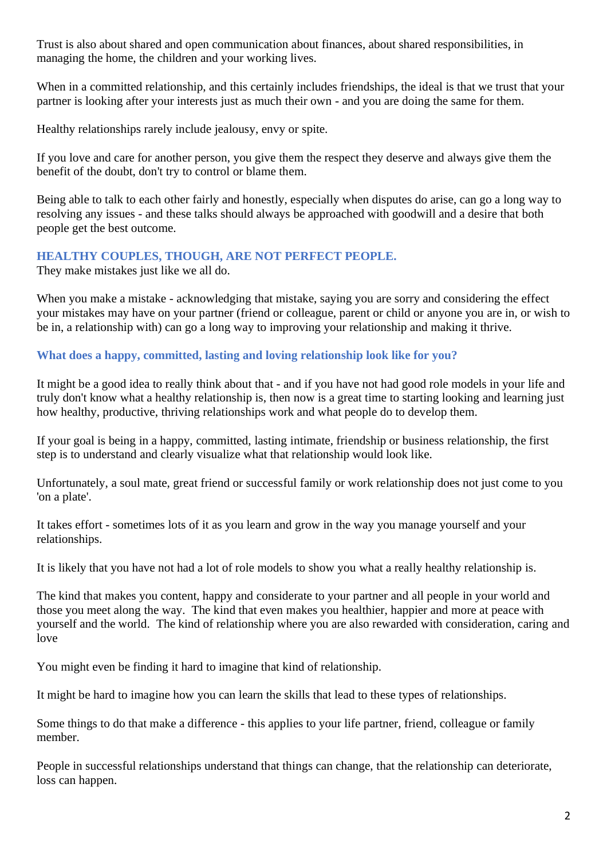Trust is also about shared and open communication about finances, about shared responsibilities, in managing the home, the children and your working lives.

When in a committed relationship, and this certainly includes friendships, the ideal is that we trust that your partner is looking after your interests just as much their own - and you are doing the same for them.

Healthy relationships rarely include jealousy, envy or spite.

If you love and care for another person, you give them the respect they deserve and always give them the benefit of the doubt, don't try to control or blame them.

Being able to talk to each other fairly and honestly, especially when disputes do arise, can go a long way to resolving any issues - and these talks should always be approached with goodwill and a desire that both people get the best outcome.

## **HEALTHY COUPLES, THOUGH, ARE NOT PERFECT PEOPLE.**

They make mistakes just like we all do.

When you make a mistake - acknowledging that mistake, saying you are sorry and considering the effect your mistakes may have on your partner (friend or colleague, parent or child or anyone you are in, or wish to be in, a relationship with) can go a long way to improving your relationship and making it thrive.

## **What does a happy, committed, lasting and loving relationship look like for you?**

It might be a good idea to really think about that - and if you have not had good role models in your life and truly don't know what a healthy relationship is, then now is a great time to starting looking and learning just how healthy, productive, thriving relationships work and what people do to develop them.

If your goal is being in a happy, committed, lasting intimate, friendship or business relationship, the first step is to understand and clearly visualize what that relationship would look like.

Unfortunately, a soul mate, great friend or successful family or work relationship does not just come to you 'on a plate'.

It takes effort - sometimes lots of it as you learn and grow in the way you manage yourself and your relationships.

It is likely that you have not had a lot of role models to show you what a really healthy relationship is.

The kind that makes you content, happy and considerate to your partner and all people in your world and those you meet along the way. The kind that even makes you healthier, happier and more at peace with yourself and the world. The kind of relationship where you are also rewarded with consideration, caring and love

You might even be finding it hard to imagine that kind of relationship.

It might be hard to imagine how you can learn the skills that lead to these types of relationships.

Some things to do that make a difference - this applies to your life partner, friend, colleague or family member.

People in successful relationships understand that things can change, that the relationship can deteriorate, loss can happen.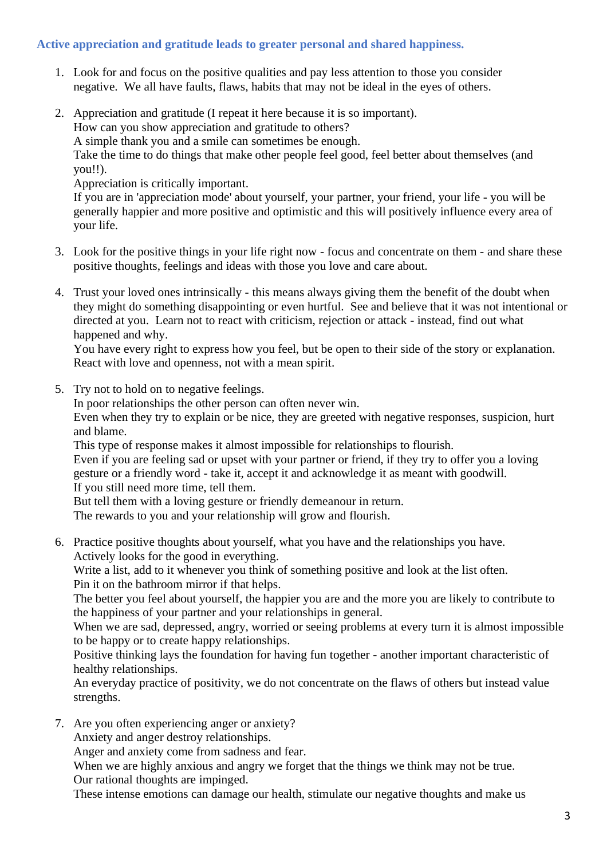## **Active appreciation and gratitude leads to greater personal and shared happiness.**

- 1. Look for and focus on the positive qualities and pay less attention to those you consider negative. We all have faults, flaws, habits that may not be ideal in the eyes of others.
- 2. Appreciation and gratitude (I repeat it here because it is so important). How can you show appreciation and gratitude to others? A simple thank you and a smile can sometimes be enough.

Take the time to do things that make other people feel good, feel better about themselves (and you!!).

Appreciation is critically important.

If you are in 'appreciation mode' about yourself, your partner, your friend, your life - you will be generally happier and more positive and optimistic and this will positively influence every area of your life.

- 3. Look for the positive things in your life right now focus and concentrate on them and share these positive thoughts, feelings and ideas with those you love and care about.
- 4. Trust your loved ones intrinsically this means always giving them the benefit of the doubt when they might do something disappointing or even hurtful. See and believe that it was not intentional or directed at you. Learn not to react with criticism, rejection or attack - instead, find out what happened and why.

You have every right to express how you feel, but be open to their side of the story or explanation. React with love and openness, not with a mean spirit.

5. Try not to hold on to negative feelings.

In poor relationships the other person can often never win.

Even when they try to explain or be nice, they are greeted with negative responses, suspicion, hurt and blame.

This type of response makes it almost impossible for relationships to flourish.

Even if you are feeling sad or upset with your partner or friend, if they try to offer you a loving gesture or a friendly word - take it, accept it and acknowledge it as meant with goodwill. If you still need more time, tell them.

But tell them with a loving gesture or friendly demeanour in return.

The rewards to you and your relationship will grow and flourish.

6. Practice positive thoughts about yourself, what you have and the relationships you have. Actively looks for the good in everything.

Write a list, add to it whenever you think of something positive and look at the list often. Pin it on the bathroom mirror if that helps.

The better you feel about yourself, the happier you are and the more you are likely to contribute to the happiness of your partner and your relationships in general.

When we are sad, depressed, angry, worried or seeing problems at every turn it is almost impossible to be happy or to create happy relationships.

Positive thinking lays the foundation for having fun together - another important characteristic of healthy relationships.

An everyday practice of positivity, we do not concentrate on the flaws of others but instead value strengths.

7. Are you often experiencing anger or anxiety?

Anxiety and anger destroy relationships.

Anger and anxiety come from sadness and fear.

When we are highly anxious and angry we forget that the things we think may not be true. Our rational thoughts are impinged.

These intense emotions can damage our health, stimulate our negative thoughts and make us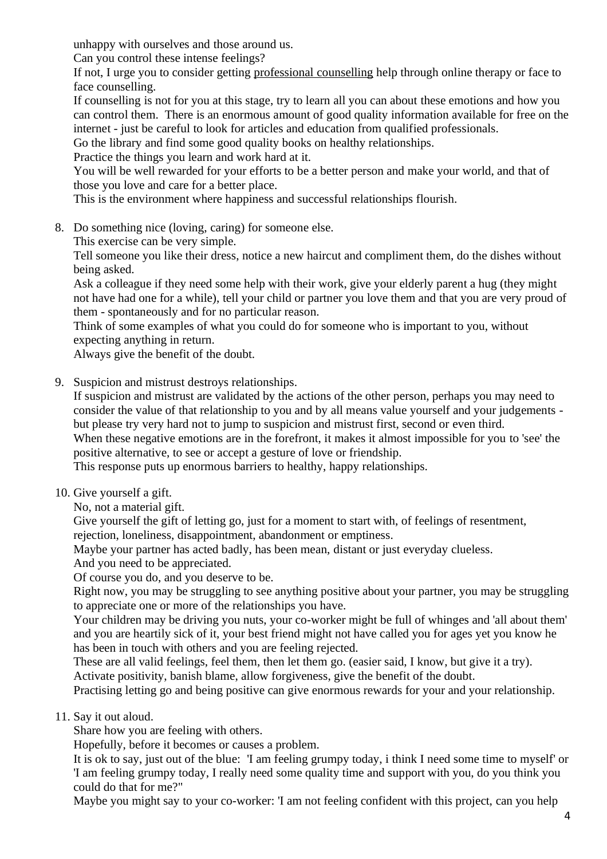unhappy with ourselves and those around us.

Can you control these intense feelings?

If not, I urge you to consider getting professional counselling help through online therapy or face to face counselling.

If counselling is not for you at this stage, try to learn all you can about these emotions and how you can control them. There is an enormous amount of good quality information available for free on the internet - just be careful to look for articles and education from qualified professionals.

Go the library and find some good quality books on healthy relationships.

Practice the things you learn and work hard at it.

You will be well rewarded for your efforts to be a better person and make your world, and that of those you love and care for a better place.

This is the environment where happiness and successful relationships flourish.

8. Do something nice (loving, caring) for someone else.

This exercise can be very simple.

Tell someone you like their dress, notice a new haircut and compliment them, do the dishes without being asked.

Ask a colleague if they need some help with their work, give your elderly parent a hug (they might not have had one for a while), tell your child or partner you love them and that you are very proud of them - spontaneously and for no particular reason.

Think of some examples of what you could do for someone who is important to you, without expecting anything in return.

Always give the benefit of the doubt.

9. Suspicion and mistrust destroys relationships.

If suspicion and mistrust are validated by the actions of the other person, perhaps you may need to consider the value of that relationship to you and by all means value yourself and your judgements but please try very hard not to jump to suspicion and mistrust first, second or even third.

When these negative emotions are in the forefront, it makes it almost impossible for you to 'see' the positive alternative, to see or accept a gesture of love or friendship.

This response puts up enormous barriers to healthy, happy relationships.

10. Give yourself a gift.

No, not a material gift.

Give yourself the gift of letting go, just for a moment to start with, of feelings of resentment,

rejection, loneliness, disappointment, abandonment or emptiness.

Maybe your partner has acted badly, has been mean, distant or just everyday clueless.

And you need to be appreciated.

Of course you do, and you deserve to be.

Right now, you may be struggling to see anything positive about your partner, you may be struggling to appreciate one or more of the relationships you have.

Your children may be driving you nuts, your co-worker might be full of whinges and 'all about them' and you are heartily sick of it, your best friend might not have called you for ages yet you know he has been in touch with others and you are feeling rejected.

These are all valid feelings, feel them, then let them go. (easier said, I know, but give it a try). Activate positivity, banish blame, allow forgiveness, give the benefit of the doubt.

Practising letting go and being positive can give enormous rewards for your and your relationship.

### 11. Say it out aloud.

Share how you are feeling with others.

Hopefully, before it becomes or causes a problem.

It is ok to say, just out of the blue: 'I am feeling grumpy today, i think I need some time to myself' or 'I am feeling grumpy today, I really need some quality time and support with you, do you think you could do that for me?"

Maybe you might say to your co-worker: 'I am not feeling confident with this project, can you help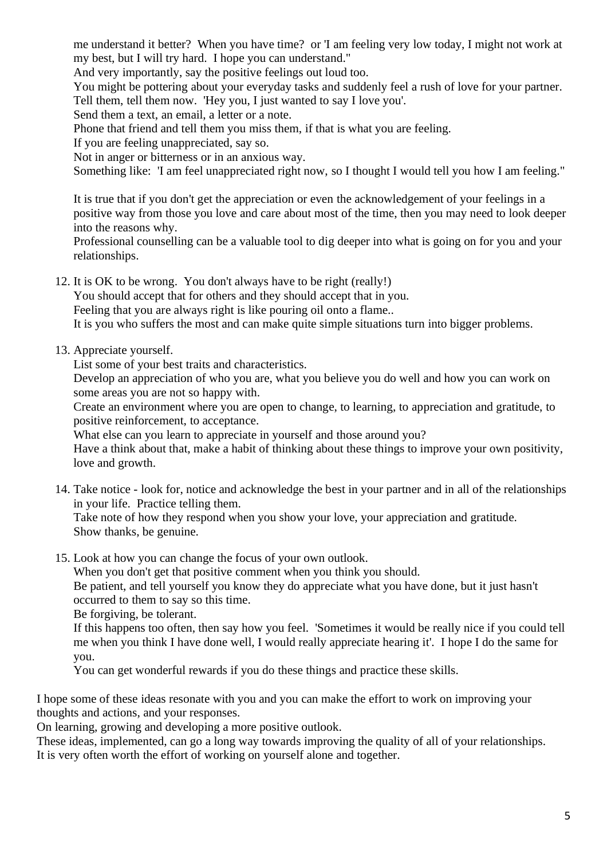me understand it better? When you have time? or 'I am feeling very low today, I might not work at my best, but I will try hard. I hope you can understand."

And very importantly, say the positive feelings out loud too.

You might be pottering about your everyday tasks and suddenly feel a rush of love for your partner. Tell them, tell them now. 'Hey you, I just wanted to say I love you'.

Send them a text, an email, a letter or a note.

Phone that friend and tell them you miss them, if that is what you are feeling.

If you are feeling unappreciated, say so.

Not in anger or bitterness or in an anxious way.

Something like: 'I am feel unappreciated right now, so I thought I would tell you how I am feeling."

It is true that if you don't get the appreciation or even the acknowledgement of your feelings in a positive way from those you love and care about most of the time, then you may need to look deeper into the reasons why.

Professional counselling can be a valuable tool to dig deeper into what is going on for you and your relationships.

12. It is OK to be wrong. You don't always have to be right (really!)

You should accept that for others and they should accept that in you.

Feeling that you are always right is like pouring oil onto a flame..

It is you who suffers the most and can make quite simple situations turn into bigger problems.

#### 13. Appreciate yourself.

List some of your best traits and characteristics.

Develop an appreciation of who you are, what you believe you do well and how you can work on some areas you are not so happy with.

Create an environment where you are open to change, to learning, to appreciation and gratitude, to positive reinforcement, to acceptance.

What else can you learn to appreciate in yourself and those around you?

Have a think about that, make a habit of thinking about these things to improve your own positivity, love and growth.

14. Take notice - look for, notice and acknowledge the best in your partner and in all of the relationships in your life. Practice telling them.

Take note of how they respond when you show your love, your appreciation and gratitude. Show thanks, be genuine.

15. Look at how you can change the focus of your own outlook.

When you don't get that positive comment when you think you should.

Be patient, and tell yourself you know they do appreciate what you have done, but it just hasn't occurred to them to say so this time.

Be forgiving, be tolerant.

If this happens too often, then say how you feel. 'Sometimes it would be really nice if you could tell me when you think I have done well, I would really appreciate hearing it'. I hope I do the same for you.

You can get wonderful rewards if you do these things and practice these skills.

I hope some of these ideas resonate with you and you can make the effort to work on improving your thoughts and actions, and your responses.

On learning, growing and developing a more positive outlook.

These ideas, implemented, can go a long way towards improving the quality of all of your relationships. It is very often worth the effort of working on yourself alone and together.